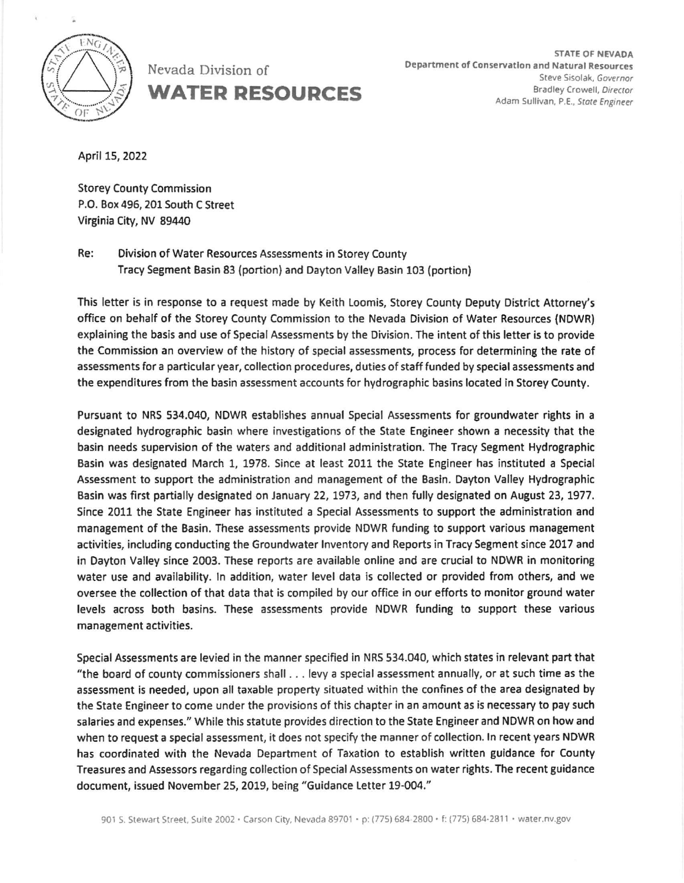

Nevada Division of WATER RESOURCES

April 15, 2022

Storey County Commission P.O. Box 495, 201 South C Street Virginia City, NV 89440

Re: Division of Water Resources Assessments in Storey County Tracy Segment Basin 83 (portion) and Dayton Valley Basin 103 (portion)

This letter is in response to a request made by Keith Loomis, Storey County Deputy District Attorney's office on behalf of the Storey county Commission to the Nevada Division of Water Resources (NOWR) explaining the basis and use of Special Assessments by the Division. The intent of this letter is to provide the Commission an overview of the history of special assessments, process for determining the rate of assessments for a particular year, collection procedures, duties of staff funded by special assessments and the expenditures from the basin assessment accounts for hydrographic basins located in Storey County.

Pursuant to NRS 534.040, NDWR establishes annual Special Assessments for groundwater rights in a designated hydrographic basin where investigations of the State Engineer shown a necessity that the basin needs supervision of the waters and additional administration. The Tracy Segment Hydrographic Basin was designated March 1, 1978. Since at least 2011 the State Engineer has instituted a Special Assessment to support the administration and management of the Basin. Dayton Valley Hydrographic Basin was first partially designated on January 22, 1973, and then fully designated on August 23, 1977. Since 2011 the State Engineer has instituted a Special Assessments to support the administration and management of the Basin, These assessments provide NDWR funding to support various management activities, including conducting the Groundwater Inventory and Reports in Tracy Segment since 2017 and in Dayton Valley since 2003. These reports are available online and are crucial to NDWR in monitoring water use and availability. ln addition, water level data is collected or provided from others, and we oversee the collection of that data that is compiled by our office in our efforts to monitor ground water levels across both basins. These assessments provide NDWR funding to support these various management activities.

Special Assessments are levied in the manner specified in NRS 534.040, which states in relevant part that "the board of county commissioners shall . . . levy a special assessment annually, or at such time as the assessment is needed, upon all taxable property situated within the confines of the area designated by the State Engineer to come under the provisions of this chapter in an amount as is necessary to pay such salaries and expenses." While this statute provides direction to the State Engineer and NDWR on how and when to request a special assessment, it does not specify the manner of collection. ln recent years NDWR has coordinated with the Nevada Department of Taxation to establish written guidance for County Treasures and Assessors regarding collection of Special Assessments on water rights. The recent Buidance document, issued November 25, 2019, being "Guidance Letter 19-004."